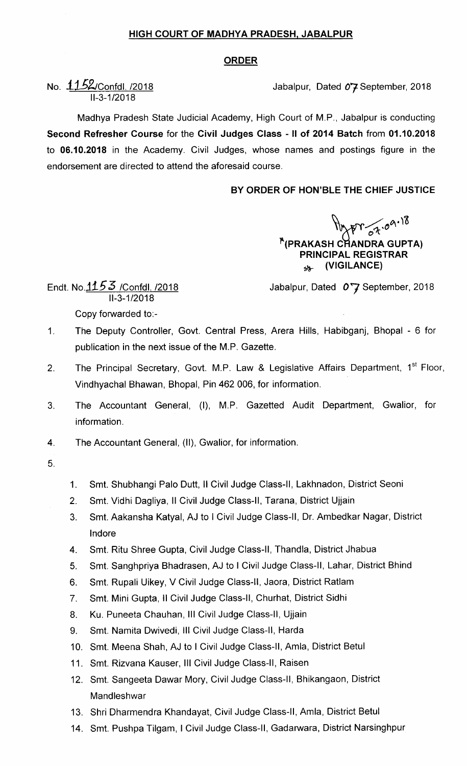#### HIGH COURT OF MADHYA PRADESH. JABALPUR

# ORDER

# No. 1152/Confdl. /2018 **Jabalpur, Dated 07 September, 2018** 11-3-1/2018

Madhya Pradesh State Judicial Academy, High Court of M.P., Jabalpur is conducting Second Refresher Course for the Civil Judges Class -11 of 2014 Batch from 01.10.2018 to 06.10.2018 in the Academy. Civil Judges, whose names and postings figure in the endorsement are directed to attend the aforesaid course.

## BY ORDER OF HON'BLE THE CHIEF JUSTICE

### <sup>\*</sup>(PRAKASH CHAN  $\sigma$  $\lambda$ , $\sigma$ <sup> $\lambda$ </sup>,  $\sigma$ DRA GUPTA) PRINCIPAL REGISTRAR  $\lambda$ <sup>t</sup> (VIGILANCE)

Jabalpur, Dated  $0.7$  September, 2018

Endt. No. $1153$  /Confdl. /2018 II-3-1/2018

Copy forwarded to:-

- $1<sub>1</sub>$ The Deputy Controller, Govt. Central Press, Arera Hills, Habibganj, Bhopal - 6 for publication in the next issue of the M.P. Gazette.
- The Principal Secretary, Govt. M.P. Law & Legislative Affairs Department, 1<sup>st</sup> Floor,  $2.$ Vindhyachal Bhawan, Bhopal, Pin 462 006, for information.
- The Accountant General, (I), M.P. Gazetted Audit Department, Gwalior, for  $3.$ information.
- $4.$ The Accountant General, (11), Gwalior, for information.
- 5.
- 1. Smt. Shubhangi palo Dutt, ll civil Judge class-lI, Lakhnadon, District seoni
- 2. Smt. Vidhi Dagliya, Il Civil Judge Class-II, Tarana, District Ujjain
- 3. Smt. Aakansha Katyal, AJ to I civil Judge class-Il, Dr. Ambedkar Nagar, District lndore
- 4. Smt. Ritu Shree Gupta, Civil Judge Class-II, Thandla, District Jhabua
- 5. Smt. Sanghpriya Bhadrasen, AJ to I civil Judge class-ll, Lahar, District Bhind
- 6. Smt. Rupali Uikey, V Civil Judge Class-II, Jaora, District Ratlam
- 7. Smt. Mini Gupta, ll civil Judge class-ll, Churhat, District sidhi
- 8. Ku. Puneeta chauhan, Ill civil Judge class-ll, Ujjain
- 9. Smt. Namita Dwivedi, Ill civil Judge class-Il, Harda
- 10. Smt. Meena Shah, AJ to I Civil Judge Class-ll, Amla, District Betul
- 11. Smt. Rizvana Kauser, III Civil Judge Class-II, Raisen
- 12. Smt. Sangeeta Dawar Mory, Civil Judge Class-ll, Bhikangaon, District **Mandleshwar**
- 13. Shri Dharmendra Khandayat, Civil Judge Class-ll, Amla, District Betul
- 14. Smt. Pushpa Tilgam, I Civil Judge class-lI, Gadarwara, District Narsinghpur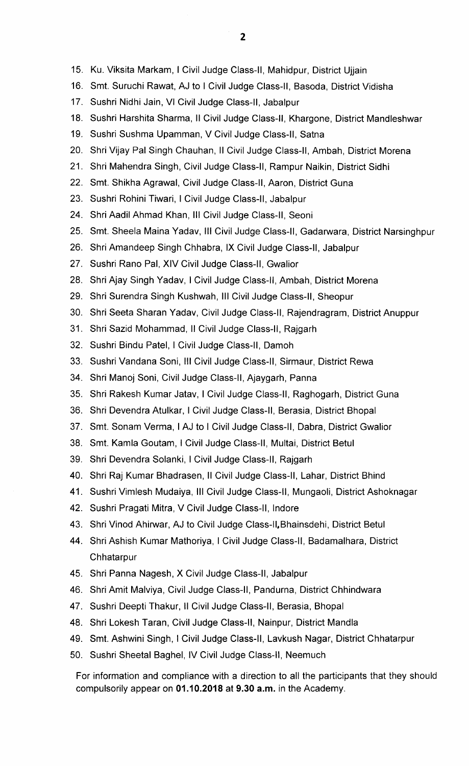- 15. Ku. Viksita Markam, I Civil Judge Class-II, Mahidpur, District Ujjain
- 16. Smt. Suruchi Rawat, AJ to I Civil Judge class-II, Basoda, District Vidisha
- 17. Sushri Nidhi Jain, VI Civil Judge class-ll, Jabalpur
- 18. Sushri Harshita Sharma, II Civil Judge Class-II, Khargone, District Mandleshwar
- 19. Sushri Sushma Upamman, V Civil Judge Class-II, Satna
- 20. Shri Vijay Pal Singh Chauhan, II Civil Judge Class-II, Ambah, District Morena
- 21. Shri Mahendra Singh, Civil Judge class-ll, Rampur Naikin, District Sidhi
- 22. Smt. Shikha Agrawal, Civil Judge class-ll, Aaron, District Guna
- 23. Sushri Rohini Tiwari, I Civil Judge Class-II, Jabalpur
- 24. Shri Aadil Ahmad Khan, III Civil Judge Class-II, Seoni
- 25. Smt. Sheela Maina Yadav, III Civil Judge Class-II, Gadarwara, District Narsinghpur
- 26. Shri Amandeep Singh Chhabra, lx Civil Judge Class-lI, Jabalpur
- 27. Sushri Rano Pal, XIV Civil Judge Class-lI, Gwaljor
- 28. Shri Ajay Singh Yadav, I Civil Judge Class-ll, Ambah, District Morena
- 29. Shri Surendra Singh Kushwah, III Civil Judge Class-II, Sheopur
- 30. Shri Seeta Sharan Yadav, Civil Judge Class-ll, Rajendragram, District Anuppur
- 31. Shri Sazid Mohammad,11 Civil Judge class-Il, Rajgarh
- 32. Sushri Bindu Patel, I Civil Judge Class-II, Damoh
- 33. Sushri Vandana Soni, III Civil Judge Class-II, Sirmaur, District Rewa
- 34. Shri Manoj Soni, Civil Judge Class-ll, Ajaygarh, Panna
- 35. Shri Rakesh Kumar Jatav, I Civil Judge Class-II, Raghogarh, District Guna
- 36. Shri Devendra Atulkar, I Civil Judge Class-II, Berasia, District Bhopal
- 37. Smt. Sonam Verma, I AJ to I Civil Judge Class-II, Dabra, District Gwalior
- 38. Smt. Kamla Goutam, I Civil Judge Class-II, Multai, District Betul
- 39. Shri Devendra Solanki, I Civil Judge Class-II, Rajgarh
- 40. Shri Raj Kumar Bhadrasen, II Civil Judge Class-II, Lahar, District Bhind
- 41. Sushri Vimlesh Mudaiya, III Civil Judge Class-II, Mungaoli, District Ashoknagar
- 42. Sushri Pragati Mitra, V Civil Judge class-II, lndore
- 43. Shri Vinod Ahirvar, AJ to Civil Judge Class-ll.Bhainsdehi, District Betul
- 44. Shri Ashish Kumar Mathoriya, I Civil Judge Class-II, Badamalhara, District **Chhatarpur**
- 45. Shri Panna Nagesh, X Civil Judge Class-ll, Jabalpur
- 46. Shri Amit Malviya, Civil Judge Class-ll, Pandurna, District Chhindwara
- 47. Sushri Deepti Thakur, Il Civil Judge Class-II, Berasia, Bhopal
- 48. Shri Lokesh Taran, Civil Judge Class-ll, Nainpur, District Mandla
- 49. Smt. Ashwini Singh, I Civil Judge Class-ll, Lavkush Nagar, District Chhatarpur
- 50. Sushri Sheetal Baghel, IV Civil Judge Class-Il, Neemuch

For information and compliance with a direction to all the participants that they should compulsorily appear on 01.10.2018 at 9.30 a.m. in the Academy.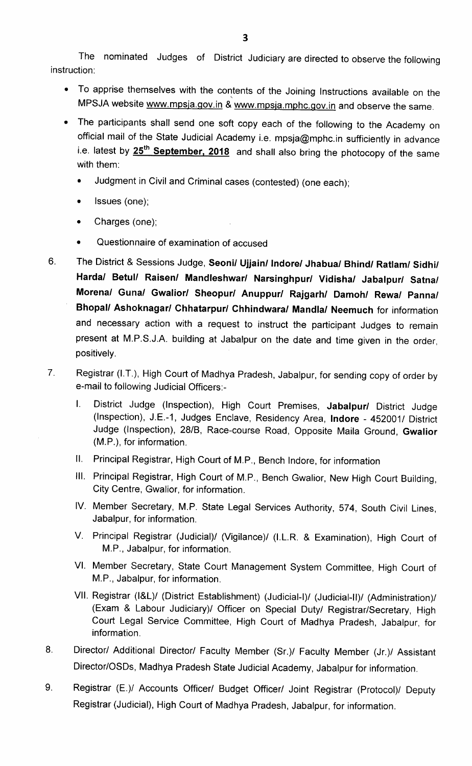The nominated Judges of District Judiciary are directed to observe the following instruction:

- To apprise themselves with the contents of the Joining Instructions available on the MPSJA website www.mpsja.gov.in & www.mpsja.mphc.gov.in and observe the same.
- The participants shall send one soft copy each of the following to the Academy on official mail of the State Judicial Academy i.e. mpsja@mphc.in sufficiently in advance i.e. latest by 25<sup>th</sup> September, 2018 and shall also bring the photocopy of the same with them:
	- Judgment in civil and criminal cases (contested) (one each);
	- Issues (one);
	- Charges (one);
	- Questionnaire of examination of accused
- 6. The District & Sessions Judge, Seoni/ Ujjain/ Indore/ Jhabua/ Bhind/ Ratlam/ Sidhi/ Harda/ Betul/ Raisen/ Mandleshwar/ Narsinghpur/ Vidisha/ Jabalpur/ Satna/ Morena/ Guna/ Gwalior/ Sheopur/ Anuppur/ Rajgarh/ Damoh/ Rewa/ Panna/ Bhopal/ Ashoknagar/ Chhatarpur/ Chhindwara/ Mandla/ Neemuch for information and necessary action with a request to instruct the participant Judges to remain present at M.P.S.J.A. building at Jabalpur on the date and time given in the order, positively.

#### Registrar (I.T.), High Court of Madhya Pradesh, Jabalpur, for sending copy of order by  $\overline{7}$ . e-mail to following Judicial Officers:-

- I. District Judge (Inspection), High Court Premises, Jabalpur/ District Judge (Inspection), J.E.-1, Judges Enclave, Residency Area, lndore -452001/ District Judge (Inspection), 28/8, Race-course Road, Opposite Maila Ground, Gwalior (M.P.), for information.
- 11. Principal Registrar, High Court of M.P., Bench lndore, for information
- Ill. Principal Registrar, High Court of M.P., Bench Gwalior, New High Court Building, City Centre, Gwalior, for information.
- IV. Member Secretary, M.P. State Legal Services Authority, 574, South Civil Lines, Jabalpur, for information.
- V. Principal Registrar (Judicial)/ (Vigilance)/ (I.L.R. & Examination), High Court of M.P., Jabalpur, for information.
- Vl. Member Secretary, State Court Management System Committee, High Court of M.P., Jabalpur, for information.
- Vll. Registrar (I&L)/ (District Establishment) (Judicial-I)/ (Judicial-ll)/ (Administration)/ (Exam & Labour Judiciary)/ Officer on Special Duty/ Registrar/Secretary, High Court Legal Service Committee, High Court of Madhya Pradesh, Jabalpur, for information.
- 8. Director/ Additional Director/ Faculty Member (Sr.)/ Faculty Member (Jr.)/ Assistant Director/OSDs, Madhya Pradesh State Judicial Academy, Jabalpur for information.
- 9. Registrar (E.)/ Accounts Officer/ Budget Officer/ Joint Registrar (Protocol)/ Deputy Registrar (Judicial), High Court of Madhya Pradesh, Jabalpur, for information.